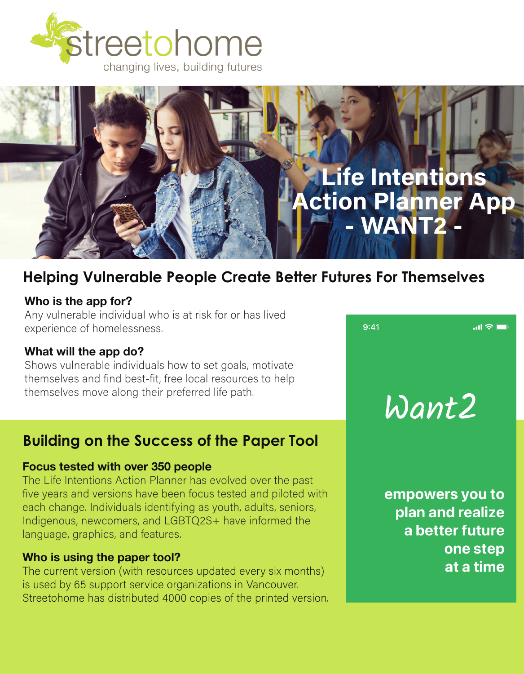



# **Helping Vulnerable People Create Better Futures For Themselves**

## **Who is the app for?**

Any vulnerable individual who is at risk for or has lived experience of homelessness.

## **What will the app do?**

Shows vulnerable individuals how to set goals, motivate themselves and find best-fit, free local resources to help themselves move along their preferred life path.

# **Building on the Success of the Paper Tool**

### **Focus tested with over 350 people**

The Life Intentions Action Planner has evolved over the past five years and versions have been focus tested and piloted with each change. Individuals identifying as youth, adults, seniors, Indigenous, newcomers, and LGBTQ2S+ have informed the language, graphics, and features.

## **Who is using the paper tool?**

The current version (with resources updated every six months) is used by 65 support service organizations in Vancouver. Streetohome has distributed 4000 copies of the printed version.



empowers you to plan and realize a better future one step at a time